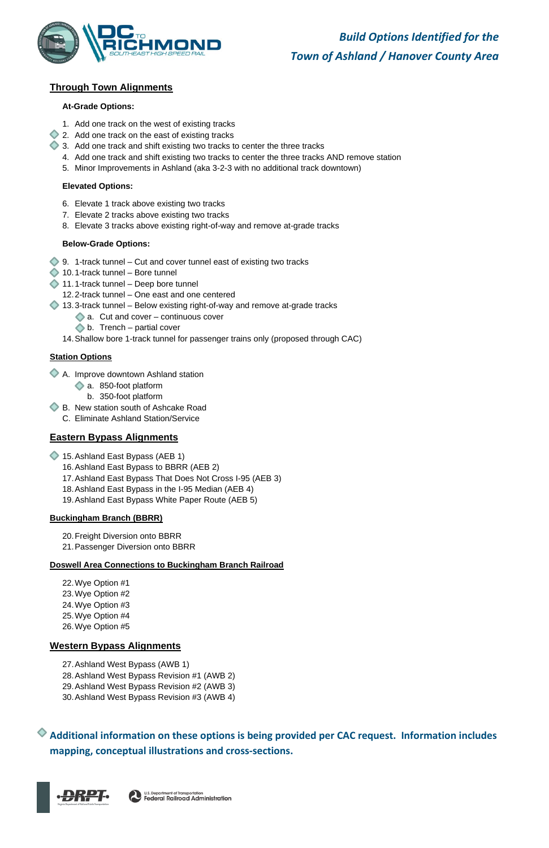

# **Through Town Alignments**

#### **At-Grade Options:**

- 1. Add one track on the west of existing tracks
- 2. Add one track on the east of existing tracks
- 3. Add one track and shift existing two tracks to center the three tracks
	- 4. Add one track and shift existing two tracks to center the three tracks AND remove station
	- 5. Minor Improvements in Ashland (aka 3-2-3 with no additional track downtown)

#### **Elevated Options:**

- $\bigcirc$  9. 1-track tunnel Cut and cover tunnel east of existing two tracks
- $\triangle$  10.1-track tunnel Bore tunnel
- 11.1-track tunnel Deep bore tunnel
	- 12.2-track tunnel One east and one centered
- 13.3-track tunnel Below existing right-of-way and remove at-grade tracks
	- $\triangle$  a. Cut and cover continuous cover
	- $\triangleright$  b. Trench partial cover
	- 14.Shallow bore 1-track tunnel for passenger trains only (proposed through CAC)
- 6. Elevate 1 track above existing two tracks
- 7. Elevate 2 tracks above existing two tracks
- 8. Elevate 3 tracks above existing right-of-way and remove at-grade tracks

#### **Below-Grade Options:**

- 15. Ashland East Bypass (AEB 1)
	- 16.Ashland East Bypass to BBRR (AEB 2)
	- 17.Ashland East Bypass That Does Not Cross I-95 (AEB 3)
	- 18.Ashland East Bypass in the I-95 Median (AEB 4)
	- 19.Ashland East Bypass White Paper Route (AEB 5)

#### **Station Options**

- A. Improve downtown Ashland station
	- a. 850-foot platform
		- b. 350-foot platform
- B. New station south of Ashcake Road
	- C. Eliminate Ashland Station/Service

# **Eastern Bypass Alignments**

#### **Buckingham Branch (BBRR)**

- 20.Freight Diversion onto BBRR
- 21.Passenger Diversion onto BBRR

#### **Doswell Area Connections to Buckingham Branch Railroad**

22.Wye Option #1 23.Wye Option #2 24.Wye Option #3 25.Wye Option #4

26.Wye Option #5

#### **Western Bypass Alignments**

27.Ashland West Bypass (AWB 1) 28.Ashland West Bypass Revision #1 (AWB 2) 29.Ashland West Bypass Revision #2 (AWB 3) 30.Ashland West Bypass Revision #3 (AWB 4)

**Additional information on these options is being provided per CAC request. Information includes mapping, conceptual illustrations and cross-sections.**